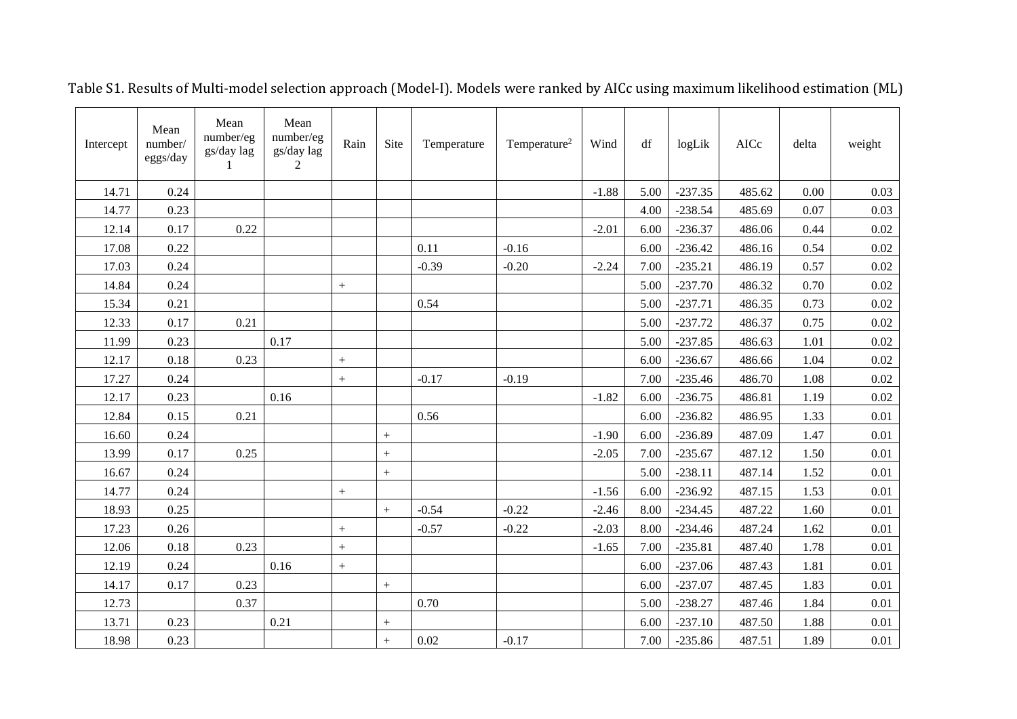| Intercept | Mean<br>number/<br>eggs/day | Mean<br>number/eg<br>gs/day lag<br>-1 | Mean<br>number/eg<br>gs/day lag<br>$\overline{c}$ | Rain              | Site             | Temperature | Temperature <sup>2</sup> | Wind    | df   | logLik    | AICc   | delta | weight   |
|-----------|-----------------------------|---------------------------------------|---------------------------------------------------|-------------------|------------------|-------------|--------------------------|---------|------|-----------|--------|-------|----------|
| 14.71     | 0.24                        |                                       |                                                   |                   |                  |             |                          | $-1.88$ | 5.00 | $-237.35$ | 485.62 | 0.00  | 0.03     |
| 14.77     | 0.23                        |                                       |                                                   |                   |                  |             |                          |         | 4.00 | $-238.54$ | 485.69 | 0.07  | 0.03     |
| 12.14     | 0.17                        | 0.22                                  |                                                   |                   |                  |             |                          | $-2.01$ | 6.00 | $-236.37$ | 486.06 | 0.44  | 0.02     |
| 17.08     | 0.22                        |                                       |                                                   |                   |                  | 0.11        | $-0.16$                  |         | 6.00 | $-236.42$ | 486.16 | 0.54  | 0.02     |
| 17.03     | 0.24                        |                                       |                                                   |                   |                  | $-0.39$     | $-0.20$                  | $-2.24$ | 7.00 | $-235.21$ | 486.19 | 0.57  | 0.02     |
| 14.84     | 0.24                        |                                       |                                                   | $\boldsymbol{+}$  |                  |             |                          |         | 5.00 | $-237.70$ | 486.32 | 0.70  | 0.02     |
| 15.34     | 0.21                        |                                       |                                                   |                   |                  | 0.54        |                          |         | 5.00 | $-237.71$ | 486.35 | 0.73  | 0.02     |
| 12.33     | 0.17                        | 0.21                                  |                                                   |                   |                  |             |                          |         | 5.00 | $-237.72$ | 486.37 | 0.75  | 0.02     |
| 11.99     | 0.23                        |                                       | 0.17                                              |                   |                  |             |                          |         | 5.00 | $-237.85$ | 486.63 | 1.01  | 0.02     |
| 12.17     | 0.18                        | 0.23                                  |                                                   | $+$               |                  |             |                          |         | 6.00 | $-236.67$ | 486.66 | 1.04  | 0.02     |
| 17.27     | 0.24                        |                                       |                                                   | $\qquad \qquad +$ |                  | $-0.17$     | $-0.19$                  |         | 7.00 | $-235.46$ | 486.70 | 1.08  | 0.02     |
| 12.17     | 0.23                        |                                       | 0.16                                              |                   |                  |             |                          | $-1.82$ | 6.00 | $-236.75$ | 486.81 | 1.19  | $0.02\,$ |
| 12.84     | 0.15                        | 0.21                                  |                                                   |                   |                  | 0.56        |                          |         | 6.00 | $-236.82$ | 486.95 | 1.33  | 0.01     |
| 16.60     | 0.24                        |                                       |                                                   |                   | $\boldsymbol{+}$ |             |                          | $-1.90$ | 6.00 | $-236.89$ | 487.09 | 1.47  | 0.01     |
| 13.99     | 0.17                        | 0.25                                  |                                                   |                   | $\boldsymbol{+}$ |             |                          | $-2.05$ | 7.00 | $-235.67$ | 487.12 | 1.50  | 0.01     |
| 16.67     | 0.24                        |                                       |                                                   |                   | $+$              |             |                          |         | 5.00 | $-238.11$ | 487.14 | 1.52  | 0.01     |
| 14.77     | 0.24                        |                                       |                                                   | $\boldsymbol{+}$  |                  |             |                          | $-1.56$ | 6.00 | $-236.92$ | 487.15 | 1.53  | 0.01     |
| 18.93     | 0.25                        |                                       |                                                   |                   | $\boldsymbol{+}$ | $-0.54$     | $-0.22$                  | $-2.46$ | 8.00 | $-234.45$ | 487.22 | 1.60  | 0.01     |
| 17.23     | 0.26                        |                                       |                                                   | $+$               |                  | $-0.57$     | $-0.22$                  | $-2.03$ | 8.00 | $-234.46$ | 487.24 | 1.62  | 0.01     |
| 12.06     | 0.18                        | 0.23                                  |                                                   | $\boldsymbol{+}$  |                  |             |                          | $-1.65$ | 7.00 | $-235.81$ | 487.40 | 1.78  | 0.01     |
| 12.19     | 0.24                        |                                       | 0.16                                              | $\boldsymbol{+}$  |                  |             |                          |         | 6.00 | $-237.06$ | 487.43 | 1.81  | 0.01     |
| 14.17     | 0.17                        | 0.23                                  |                                                   |                   | $+$              |             |                          |         | 6.00 | $-237.07$ | 487.45 | 1.83  | 0.01     |
| 12.73     |                             | 0.37                                  |                                                   |                   |                  | 0.70        |                          |         | 5.00 | $-238.27$ | 487.46 | 1.84  | 0.01     |
| 13.71     | 0.23                        |                                       | 0.21                                              |                   |                  |             |                          |         | 6.00 | $-237.10$ | 487.50 | 1.88  | 0.01     |
| 18.98     | 0.23                        |                                       |                                                   |                   | $^{+}$           | 0.02        | $-0.17$                  |         | 7.00 | $-235.86$ | 487.51 | 1.89  | 0.01     |

Table S1. Results of Multi-model selection approach (Model-I). Models were ranked by AICc using maximum likelihood estimation (ML)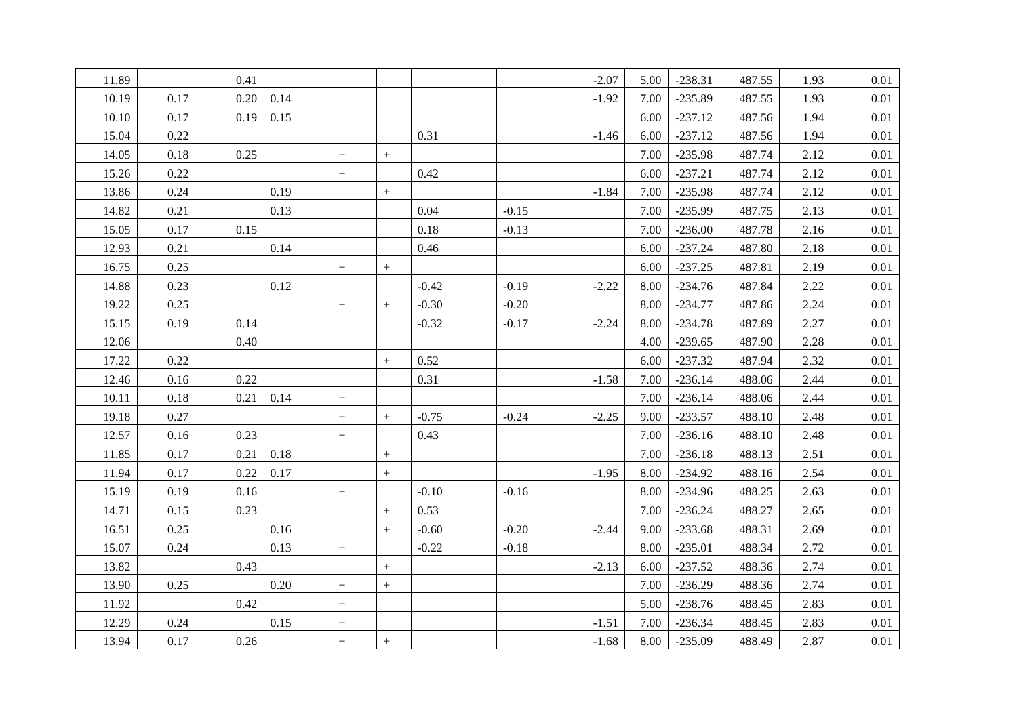| 11.89 |      | 0.41 |      |                                  |                  |         |         | $-2.07$ | 5.00 | $-238.31$ | 487.55 | 1.93 | 0.01     |
|-------|------|------|------|----------------------------------|------------------|---------|---------|---------|------|-----------|--------|------|----------|
| 10.19 | 0.17 | 0.20 | 0.14 |                                  |                  |         |         | $-1.92$ | 7.00 | $-235.89$ | 487.55 | 1.93 | 0.01     |
| 10.10 | 0.17 | 0.19 | 0.15 |                                  |                  |         |         |         | 6.00 | $-237.12$ | 487.56 | 1.94 | 0.01     |
| 15.04 | 0.22 |      |      |                                  |                  | 0.31    |         | $-1.46$ | 6.00 | $-237.12$ | 487.56 | 1.94 | 0.01     |
| 14.05 | 0.18 | 0.25 |      | $\begin{array}{c} + \end{array}$ | $+$              |         |         |         | 7.00 | $-235.98$ | 487.74 | 2.12 | $0.01\,$ |
| 15.26 | 0.22 |      |      | $^{+}$                           |                  | 0.42    |         |         | 6.00 | $-237.21$ | 487.74 | 2.12 | 0.01     |
| 13.86 | 0.24 |      | 0.19 |                                  | $\boldsymbol{+}$ |         |         | $-1.84$ | 7.00 | $-235.98$ | 487.74 | 2.12 | 0.01     |
| 14.82 | 0.21 |      | 0.13 |                                  |                  | 0.04    | $-0.15$ |         | 7.00 | $-235.99$ | 487.75 | 2.13 | $0.01\,$ |
| 15.05 | 0.17 | 0.15 |      |                                  |                  | 0.18    | $-0.13$ |         | 7.00 | $-236.00$ | 487.78 | 2.16 | 0.01     |
| 12.93 | 0.21 |      | 0.14 |                                  |                  | 0.46    |         |         | 6.00 | $-237.24$ | 487.80 | 2.18 | 0.01     |
| 16.75 | 0.25 |      |      | $^{+}$                           | $+$              |         |         |         | 6.00 | $-237.25$ | 487.81 | 2.19 | 0.01     |
| 14.88 | 0.23 |      | 0.12 |                                  |                  | $-0.42$ | $-0.19$ | $-2.22$ | 8.00 | $-234.76$ | 487.84 | 2.22 | 0.01     |
| 19.22 | 0.25 |      |      | $+$                              | $+$              | $-0.30$ | $-0.20$ |         | 8.00 | $-234.77$ | 487.86 | 2.24 | $0.01\,$ |
| 15.15 | 0.19 | 0.14 |      |                                  |                  | $-0.32$ | $-0.17$ | $-2.24$ | 8.00 | $-234.78$ | 487.89 | 2.27 | 0.01     |
| 12.06 |      | 0.40 |      |                                  |                  |         |         |         | 4.00 | $-239.65$ | 487.90 | 2.28 | 0.01     |
| 17.22 | 0.22 |      |      |                                  | $+$              | 0.52    |         |         | 6.00 | $-237.32$ | 487.94 | 2.32 | $0.01\,$ |
| 12.46 | 0.16 | 0.22 |      |                                  |                  | 0.31    |         | $-1.58$ | 7.00 | $-236.14$ | 488.06 | 2.44 | 0.01     |
| 10.11 | 0.18 | 0.21 | 0.14 | $^{+}$                           |                  |         |         |         | 7.00 | $-236.14$ | 488.06 | 2.44 | $0.01\,$ |
| 19.18 | 0.27 |      |      | $^{+}$                           | $+$              | $-0.75$ | $-0.24$ | $-2.25$ | 9.00 | $-233.57$ | 488.10 | 2.48 | 0.01     |
| 12.57 | 0.16 | 0.23 |      | $\begin{array}{c} + \end{array}$ |                  | 0.43    |         |         | 7.00 | $-236.16$ | 488.10 | 2.48 | 0.01     |
| 11.85 | 0.17 | 0.21 | 0.18 |                                  |                  |         |         |         | 7.00 | $-236.18$ | 488.13 | 2.51 | 0.01     |
| 11.94 | 0.17 | 0.22 | 0.17 |                                  | $\boldsymbol{+}$ |         |         | $-1.95$ | 8.00 | $-234.92$ | 488.16 | 2.54 | 0.01     |
| 15.19 | 0.19 | 0.16 |      | $\begin{array}{c} + \end{array}$ |                  | $-0.10$ | $-0.16$ |         | 8.00 | $-234.96$ | 488.25 | 2.63 | $0.01\,$ |
| 14.71 | 0.15 | 0.23 |      |                                  | $^{+}$           | 0.53    |         |         | 7.00 | $-236.24$ | 488.27 | 2.65 | 0.01     |
| 16.51 | 0.25 |      | 0.16 |                                  | $\boldsymbol{+}$ | $-0.60$ | $-0.20$ | $-2.44$ | 9.00 | $-233.68$ | 488.31 | 2.69 | 0.01     |
| 15.07 | 0.24 |      | 0.13 | $\begin{array}{c} + \end{array}$ |                  | $-0.22$ | $-0.18$ |         | 8.00 | $-235.01$ | 488.34 | 2.72 | 0.01     |
| 13.82 |      | 0.43 |      |                                  | $\boldsymbol{+}$ |         |         | $-2.13$ | 6.00 | $-237.52$ | 488.36 | 2.74 | 0.01     |
| 13.90 | 0.25 |      | 0.20 | $\begin{array}{c} + \end{array}$ | $\boldsymbol{+}$ |         |         |         | 7.00 | $-236.29$ | 488.36 | 2.74 | $0.01\,$ |
| 11.92 |      | 0.42 |      | $^{+}$                           |                  |         |         |         | 5.00 | $-238.76$ | 488.45 | 2.83 | 0.01     |
| 12.29 | 0.24 |      | 0.15 | $\! + \!$                        |                  |         |         | $-1.51$ | 7.00 | $-236.34$ | 488.45 | 2.83 | 0.01     |
| 13.94 | 0.17 | 0.26 |      | $\begin{array}{c} + \end{array}$ | $\boldsymbol{+}$ |         |         | $-1.68$ | 8.00 | $-235.09$ | 488.49 | 2.87 | 0.01     |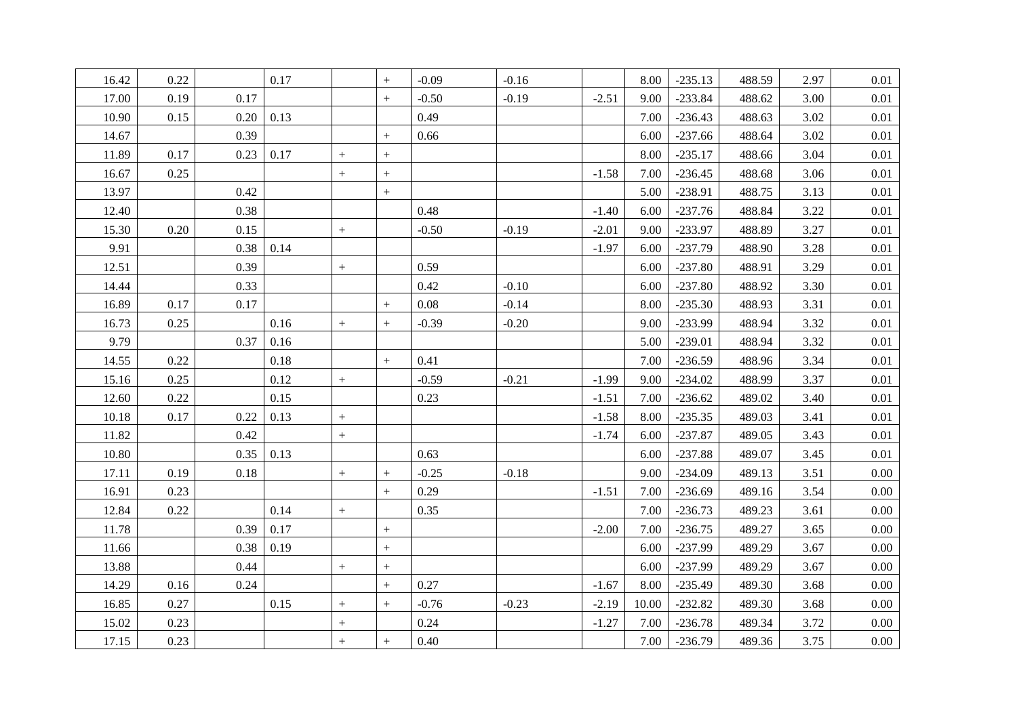| 16.42 | 0.22 |      | 0.17 |                                  | $+$              | $-0.09$ | $-0.16$ |         | 8.00  | $-235.13$ | 488.59 | 2.97 | $0.01\,$ |
|-------|------|------|------|----------------------------------|------------------|---------|---------|---------|-------|-----------|--------|------|----------|
| 17.00 | 0.19 | 0.17 |      |                                  | $+$              | $-0.50$ | $-0.19$ | $-2.51$ | 9.00  | $-233.84$ | 488.62 | 3.00 | 0.01     |
| 10.90 | 0.15 | 0.20 | 0.13 |                                  |                  | 0.49    |         |         | 7.00  | $-236.43$ | 488.63 | 3.02 | 0.01     |
| 14.67 |      | 0.39 |      |                                  | $+$              | 0.66    |         |         | 6.00  | $-237.66$ | 488.64 | 3.02 | 0.01     |
| 11.89 | 0.17 | 0.23 | 0.17 | $+$                              | $\boldsymbol{+}$ |         |         |         | 8.00  | $-235.17$ | 488.66 | 3.04 | 0.01     |
| 16.67 | 0.25 |      |      | $^{+}$                           |                  |         |         | $-1.58$ | 7.00  | $-236.45$ | 488.68 | 3.06 | $0.01\,$ |
| 13.97 |      | 0.42 |      |                                  |                  |         |         |         | 5.00  | $-238.91$ | 488.75 | 3.13 | 0.01     |
| 12.40 |      | 0.38 |      |                                  |                  | 0.48    |         | $-1.40$ | 6.00  | $-237.76$ | 488.84 | 3.22 | $0.01\,$ |
| 15.30 | 0.20 | 0.15 |      | $^{+}$                           |                  | $-0.50$ | $-0.19$ | $-2.01$ | 9.00  | $-233.97$ | 488.89 | 3.27 | 0.01     |
| 9.91  |      | 0.38 | 0.14 |                                  |                  |         |         | $-1.97$ | 6.00  | $-237.79$ | 488.90 | 3.28 | 0.01     |
| 12.51 |      | 0.39 |      | $^{+}$                           |                  | 0.59    |         |         | 6.00  | $-237.80$ | 488.91 | 3.29 | 0.01     |
| 14.44 |      | 0.33 |      |                                  |                  | 0.42    | $-0.10$ |         | 6.00  | $-237.80$ | 488.92 | 3.30 | 0.01     |
| 16.89 | 0.17 | 0.17 |      |                                  | $+$              | 0.08    | $-0.14$ |         | 8.00  | $-235.30$ | 488.93 | 3.31 | $0.01\,$ |
| 16.73 | 0.25 |      | 0.16 | $+$                              | $\boldsymbol{+}$ | $-0.39$ | $-0.20$ |         | 9.00  | $-233.99$ | 488.94 | 3.32 | 0.01     |
| 9.79  |      | 0.37 | 0.16 |                                  |                  |         |         |         | 5.00  | $-239.01$ | 488.94 | 3.32 | 0.01     |
| 14.55 | 0.22 |      | 0.18 |                                  | $\boldsymbol{+}$ | 0.41    |         |         | 7.00  | $-236.59$ | 488.96 | 3.34 | $0.01\,$ |
| 15.16 | 0.25 |      | 0.12 | $\begin{array}{c} + \end{array}$ |                  | $-0.59$ | $-0.21$ | $-1.99$ | 9.00  | $-234.02$ | 488.99 | 3.37 | 0.01     |
| 12.60 | 0.22 |      | 0.15 |                                  |                  | 0.23    |         | $-1.51$ | 7.00  | $-236.62$ | 489.02 | 3.40 | 0.01     |
| 10.18 | 0.17 | 0.22 | 0.13 | $+$                              |                  |         |         | $-1.58$ | 8.00  | $-235.35$ | 489.03 | 3.41 | 0.01     |
| 11.82 |      | 0.42 |      | $^{+}$                           |                  |         |         | $-1.74$ | 6.00  | $-237.87$ | 489.05 | 3.43 | 0.01     |
| 10.80 |      | 0.35 | 0.13 |                                  |                  | 0.63    |         |         | 6.00  | $-237.88$ | 489.07 | 3.45 | $0.01\,$ |
| 17.11 | 0.19 | 0.18 |      | $\begin{array}{c} + \end{array}$ | $\boldsymbol{+}$ | $-0.25$ | $-0.18$ |         | 9.00  | $-234.09$ | 489.13 | 3.51 | 0.00     |
| 16.91 | 0.23 |      |      |                                  | $+$              | 0.29    |         | $-1.51$ | 7.00  | $-236.69$ | 489.16 | 3.54 | 0.00     |
| 12.84 | 0.22 |      | 0.14 | $^{+}$                           |                  | 0.35    |         |         | 7.00  | $-236.73$ | 489.23 | 3.61 | 0.00     |
| 11.78 |      | 0.39 | 0.17 |                                  |                  |         |         | $-2.00$ | 7.00  | $-236.75$ | 489.27 | 3.65 | $0.00\,$ |
| 11.66 |      | 0.38 | 0.19 |                                  |                  |         |         |         | 6.00  | $-237.99$ | 489.29 | 3.67 | $0.00\,$ |
| 13.88 |      | 0.44 |      | $\! + \!$                        |                  |         |         |         | 6.00  | $-237.99$ | 489.29 | 3.67 | 0.00     |
| 14.29 | 0.16 | 0.24 |      |                                  | $^{+}$           | 0.27    |         | $-1.67$ | 8.00  | $-235.49$ | 489.30 | 3.68 | $0.00\,$ |
| 16.85 | 0.27 |      | 0.15 |                                  | $+$              | $-0.76$ | $-0.23$ | $-2.19$ | 10.00 | $-232.82$ | 489.30 | 3.68 | 0.00     |
| 15.02 | 0.23 |      |      |                                  |                  | 0.24    |         | $-1.27$ | 7.00  | $-236.78$ | 489.34 | 3.72 | 0.00     |
| 17.15 | 0.23 |      |      | $^{+}$                           | $\boldsymbol{+}$ | 0.40    |         |         | 7.00  | $-236.79$ | 489.36 | 3.75 | 0.00     |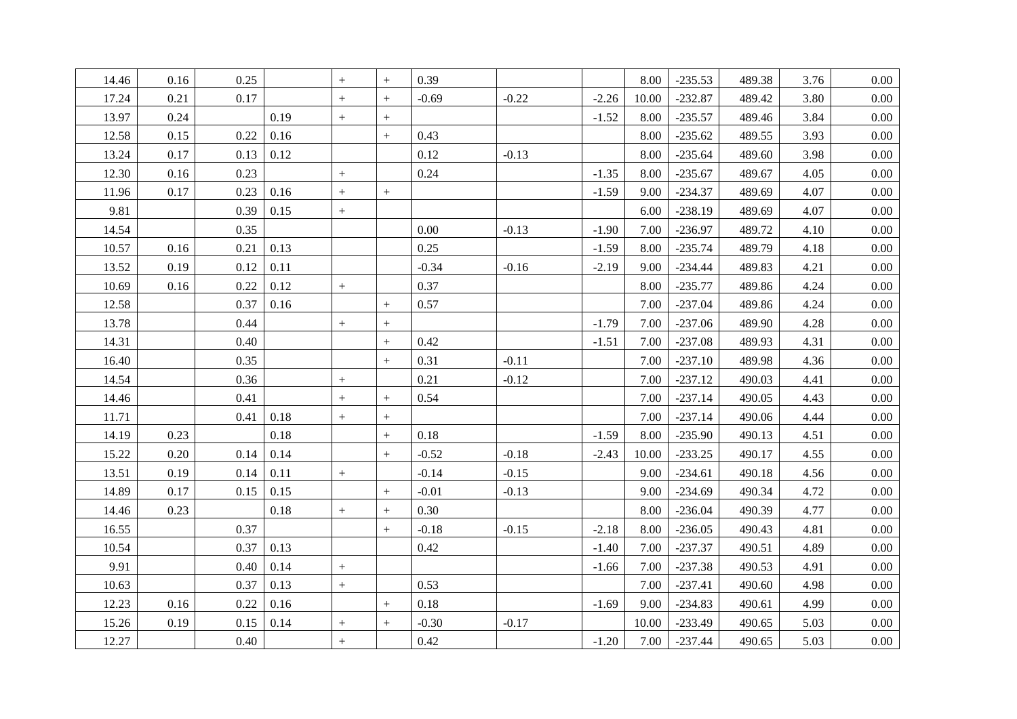| 14.46 | 0.16 | 0.25 |      |                                  | $+$              | 0.39    |         |         | 8.00  | $-235.53$ | 489.38 | 3.76 | $0.00\,$ |
|-------|------|------|------|----------------------------------|------------------|---------|---------|---------|-------|-----------|--------|------|----------|
| 17.24 | 0.21 | 0.17 |      | $+$                              | $+$              | $-0.69$ | $-0.22$ | $-2.26$ | 10.00 | $-232.87$ | 489.42 | 3.80 | 0.00     |
| 13.97 | 0.24 |      | 0.19 | $+$                              | $+$              |         |         | $-1.52$ | 8.00  | $-235.57$ | 489.46 | 3.84 | 0.00     |
| 12.58 | 0.15 | 0.22 | 0.16 |                                  | $+$              | 0.43    |         |         | 8.00  | $-235.62$ | 489.55 | 3.93 | 0.00     |
| 13.24 | 0.17 | 0.13 | 0.12 |                                  |                  | 0.12    | $-0.13$ |         | 8.00  | $-235.64$ | 489.60 | 3.98 | $0.00\,$ |
| 12.30 | 0.16 | 0.23 |      | $^{+}$                           |                  | 0.24    |         | $-1.35$ | 8.00  | $-235.67$ | 489.67 | 4.05 | $0.00\,$ |
| 11.96 | 0.17 | 0.23 | 0.16 | $+$                              | $+$              |         |         | $-1.59$ | 9.00  | $-234.37$ | 489.69 | 4.07 | 0.00     |
| 9.81  |      | 0.39 | 0.15 | $^{+}$                           |                  |         |         |         | 6.00  | $-238.19$ | 489.69 | 4.07 | $0.00\,$ |
| 14.54 |      | 0.35 |      |                                  |                  | 0.00    | $-0.13$ | $-1.90$ | 7.00  | $-236.97$ | 489.72 | 4.10 | 0.00     |
| 10.57 | 0.16 | 0.21 | 0.13 |                                  |                  | 0.25    |         | $-1.59$ | 8.00  | $-235.74$ | 489.79 | 4.18 | $0.00\,$ |
| 13.52 | 0.19 | 0.12 | 0.11 |                                  |                  | $-0.34$ | $-0.16$ | $-2.19$ | 9.00  | $-234.44$ | 489.83 | 4.21 | $0.00\,$ |
| 10.69 | 0.16 | 0.22 | 0.12 | $\boldsymbol{+}$                 |                  | 0.37    |         |         | 8.00  | $-235.77$ | 489.86 | 4.24 | 0.00     |
| 12.58 |      | 0.37 | 0.16 |                                  | $+$              | 0.57    |         |         | 7.00  | $-237.04$ | 489.86 | 4.24 | 0.00     |
| 13.78 |      | 0.44 |      | $^{+}$                           | $+$              |         |         | $-1.79$ | 7.00  | $-237.06$ | 489.90 | 4.28 | 0.00     |
| 14.31 |      | 0.40 |      |                                  | $+$              | 0.42    |         | $-1.51$ | 7.00  | $-237.08$ | 489.93 | 4.31 | 0.00     |
| 16.40 |      | 0.35 |      |                                  | $\boldsymbol{+}$ | 0.31    | $-0.11$ |         | 7.00  | $-237.10$ | 489.98 | 4.36 | $0.00\,$ |
| 14.54 |      | 0.36 |      | $\! + \!$                        |                  | 0.21    | $-0.12$ |         | 7.00  | $-237.12$ | 490.03 | 4.41 | 0.00     |
| 14.46 |      | 0.41 |      | $^{+}$                           | $+$              | 0.54    |         |         | 7.00  | $-237.14$ | 490.05 | 4.43 | $0.00\,$ |
| 11.71 |      | 0.41 | 0.18 | $^{+}$                           | $\boldsymbol{+}$ |         |         |         | 7.00  | $-237.14$ | 490.06 | 4.44 | 0.00     |
| 14.19 | 0.23 |      | 0.18 |                                  | $+$              | 0.18    |         | $-1.59$ | 8.00  | $-235.90$ | 490.13 | 4.51 | $0.00\,$ |
| 15.22 | 0.20 | 0.14 | 0.14 |                                  | $\boldsymbol{+}$ | $-0.52$ | $-0.18$ | $-2.43$ | 10.00 | $-233.25$ | 490.17 | 4.55 | $0.00\,$ |
| 13.51 | 0.19 | 0.14 | 0.11 | $\boldsymbol{+}$                 |                  | $-0.14$ | $-0.15$ |         | 9.00  | $-234.61$ | 490.18 | 4.56 | $0.00\,$ |
| 14.89 | 0.17 | 0.15 | 0.15 |                                  | $+$              | $-0.01$ | $-0.13$ |         | 9.00  | $-234.69$ | 490.34 | 4.72 | $0.00\,$ |
| 14.46 | 0.23 |      | 0.18 | $^{+}$                           | $+$              | 0.30    |         |         | 8.00  | $-236.04$ | 490.39 | 4.77 | 0.00     |
| 16.55 |      | 0.37 |      |                                  | $+$              | $-0.18$ | $-0.15$ | $-2.18$ | 8.00  | $-236.05$ | 490.43 | 4.81 | 0.00     |
| 10.54 |      | 0.37 | 0.13 |                                  |                  | 0.42    |         | $-1.40$ | 7.00  | $-237.37$ | 490.51 | 4.89 | 0.00     |
| 9.91  |      | 0.40 | 0.14 | $+$                              |                  |         |         | $-1.66$ | 7.00  | $-237.38$ | 490.53 | 4.91 | $0.00\,$ |
| 10.63 |      | 0.37 | 0.13 | $+$                              |                  | 0.53    |         |         | 7.00  | $-237.41$ | 490.60 | 4.98 | $0.00\,$ |
| 12.23 | 0.16 | 0.22 | 0.16 |                                  | $^{+}$           | 0.18    |         | $-1.69$ | 9.00  | $-234.83$ | 490.61 | 4.99 | 0.00     |
| 15.26 | 0.19 | 0.15 | 0.14 | $^{+}$                           | $+$              | $-0.30$ | $-0.17$ |         | 10.00 | $-233.49$ | 490.65 | 5.03 | $0.00\,$ |
| 12.27 |      | 0.40 |      | $\begin{array}{c} + \end{array}$ |                  | 0.42    |         | $-1.20$ | 7.00  | $-237.44$ | 490.65 | 5.03 | 0.00     |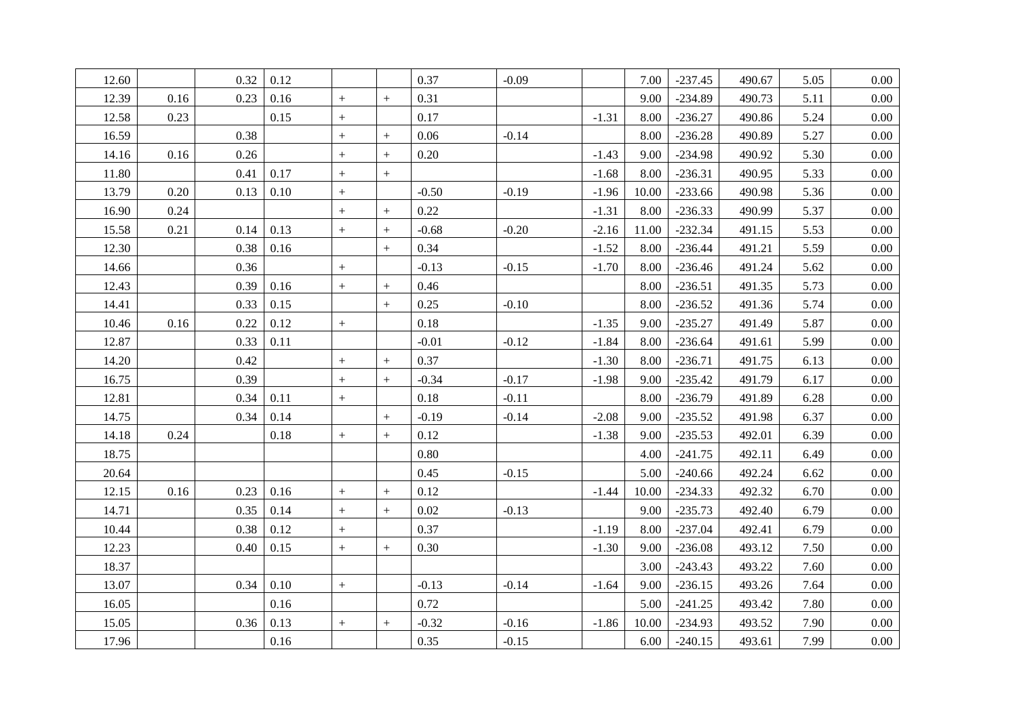| 12.60 |      | 0.32 | 0.12 |                  |                   | 0.37     | $-0.09$ |         | 7.00  | $-237.45$ | 490.67 | 5.05 | 0.00     |
|-------|------|------|------|------------------|-------------------|----------|---------|---------|-------|-----------|--------|------|----------|
| 12.39 | 0.16 | 0.23 | 0.16 | $\boldsymbol{+}$ | $\boldsymbol{+}$  | 0.31     |         |         | 9.00  | $-234.89$ | 490.73 | 5.11 | 0.00     |
| 12.58 | 0.23 |      | 0.15 | $+$              |                   | 0.17     |         | $-1.31$ | 8.00  | $-236.27$ | 490.86 | 5.24 | 0.00     |
| 16.59 |      | 0.38 |      | $+$              | $\, +$            | 0.06     | $-0.14$ |         | 8.00  | $-236.28$ | 490.89 | 5.27 | 0.00     |
| 14.16 | 0.16 | 0.26 |      | $^{+}$           | $+$               | 0.20     |         | $-1.43$ | 9.00  | $-234.98$ | 490.92 | 5.30 | $0.00\,$ |
| 11.80 |      | 0.41 | 0.17 | $\boldsymbol{+}$ | $\qquad \qquad +$ |          |         | $-1.68$ | 8.00  | $-236.31$ | 490.95 | 5.33 | 0.00     |
| 13.79 | 0.20 | 0.13 | 0.10 | $\boldsymbol{+}$ |                   | $-0.50$  | $-0.19$ | $-1.96$ | 10.00 | $-233.66$ | 490.98 | 5.36 | $0.00\,$ |
| 16.90 | 0.24 |      |      | $^{+}$           | $+$               | 0.22     |         | $-1.31$ | 8.00  | $-236.33$ | 490.99 | 5.37 | $0.00\,$ |
| 15.58 | 0.21 | 0.14 | 0.13 | $+$              | $\, +$            | $-0.68$  | $-0.20$ | $-2.16$ | 11.00 | $-232.34$ | 491.15 | 5.53 | 0.00     |
| 12.30 |      | 0.38 | 0.16 |                  | $\boldsymbol{+}$  | 0.34     |         | $-1.52$ | 8.00  | $-236.44$ | 491.21 | 5.59 | $0.00\,$ |
| 14.66 |      | 0.36 |      | $^{+}$           |                   | $-0.13$  | $-0.15$ | $-1.70$ | 8.00  | $-236.46$ | 491.24 | 5.62 | 0.00     |
| 12.43 |      | 0.39 | 0.16 | $\! + \!$        | $\ddot{}$         | 0.46     |         |         | 8.00  | $-236.51$ | 491.35 | 5.73 | $0.00\,$ |
| 14.41 |      | 0.33 | 0.15 |                  | $\boldsymbol{+}$  | 0.25     | $-0.10$ |         | 8.00  | $-236.52$ | 491.36 | 5.74 | $0.00\,$ |
| 10.46 | 0.16 | 0.22 | 0.12 | $\boldsymbol{+}$ |                   | $0.18\,$ |         | $-1.35$ | 9.00  | $-235.27$ | 491.49 | 5.87 | 0.00     |
| 12.87 |      | 0.33 | 0.11 |                  |                   | $-0.01$  | $-0.12$ | $-1.84$ | 8.00  | $-236.64$ | 491.61 | 5.99 | $0.00\,$ |
| 14.20 |      | 0.42 |      | $^{+}$           |                   | 0.37     |         | $-1.30$ | 8.00  | $-236.71$ | 491.75 | 6.13 | $0.00\,$ |
| 16.75 |      | 0.39 |      | $\boldsymbol{+}$ | $\ddot{}$         | $-0.34$  | $-0.17$ | $-1.98$ | 9.00  | $-235.42$ | 491.79 | 6.17 | $0.00\,$ |
| 12.81 |      | 0.34 | 0.11 | $\boldsymbol{+}$ |                   | 0.18     | $-0.11$ |         | 8.00  | $-236.79$ | 491.89 | 6.28 | $0.00\,$ |
| 14.75 |      | 0.34 | 0.14 |                  | $+$               | $-0.19$  | $-0.14$ | $-2.08$ | 9.00  | $-235.52$ | 491.98 | 6.37 | 0.00     |
| 14.18 | 0.24 |      | 0.18 | $\boldsymbol{+}$ | $+$               | 0.12     |         | $-1.38$ | 9.00  | $-235.53$ | 492.01 | 6.39 | 0.00     |
| 18.75 |      |      |      |                  |                   | 0.80     |         |         | 4.00  | $-241.75$ | 492.11 | 6.49 | 0.00     |
| 20.64 |      |      |      |                  |                   | 0.45     | $-0.15$ |         | 5.00  | $-240.66$ | 492.24 | 6.62 | $0.00\,$ |
| 12.15 | 0.16 | 0.23 | 0.16 | $+$              | $+$               | 0.12     |         | $-1.44$ | 10.00 | $-234.33$ | 492.32 | 6.70 | 0.00     |
| 14.71 |      | 0.35 | 0.14 | $+$              | $+$               | 0.02     | $-0.13$ |         | 9.00  | $-235.73$ | 492.40 | 6.79 | 0.00     |
| 10.44 |      | 0.38 | 0.12 | $^{+}$           |                   | 0.37     |         | $-1.19$ | 8.00  | $-237.04$ | 492.41 | 6.79 | $0.00\,$ |
| 12.23 |      | 0.40 | 0.15 | $^{+}$           | $\qquad \qquad +$ | 0.30     |         | $-1.30$ | 9.00  | $-236.08$ | 493.12 | 7.50 | 0.00     |
| 18.37 |      |      |      |                  |                   |          |         |         | 3.00  | $-243.43$ | 493.22 | 7.60 | $0.00\,$ |
| 13.07 |      | 0.34 | 0.10 | $\boldsymbol{+}$ |                   | $-0.13$  | $-0.14$ | $-1.64$ | 9.00  | $-236.15$ | 493.26 | 7.64 | $0.00\,$ |
| 16.05 |      |      | 0.16 |                  |                   | 0.72     |         |         | 5.00  | $-241.25$ | 493.42 | 7.80 | 0.00     |
| 15.05 |      | 0.36 | 0.13 | $\boldsymbol{+}$ |                   | $-0.32$  | $-0.16$ | $-1.86$ | 10.00 | $-234.93$ | 493.52 | 7.90 | $0.00\,$ |
| 17.96 |      |      | 0.16 |                  |                   | 0.35     | $-0.15$ |         | 6.00  | $-240.15$ | 493.61 | 7.99 | 0.00     |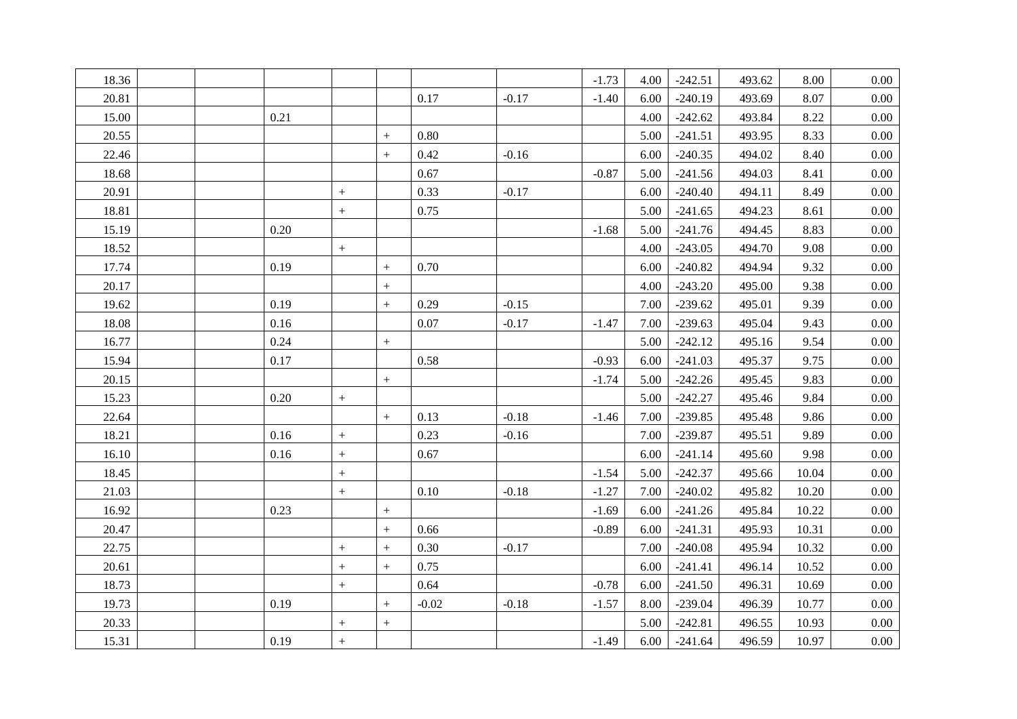| 18.36 |      |                   |                   |         |         | $-1.73$ | 4.00 | $-242.51$ | 493.62 | 8.00  | $0.00\,$ |
|-------|------|-------------------|-------------------|---------|---------|---------|------|-----------|--------|-------|----------|
| 20.81 |      |                   |                   | 0.17    | $-0.17$ | $-1.40$ | 6.00 | $-240.19$ | 493.69 | 8.07  | $0.00\,$ |
| 15.00 | 0.21 |                   |                   |         |         |         | 4.00 | $-242.62$ | 493.84 | 8.22  | 0.00     |
| 20.55 |      |                   | $\! +$            | 0.80    |         |         | 5.00 | $-241.51$ | 493.95 | 8.33  | 0.00     |
| 22.46 |      |                   | $\boldsymbol{+}$  | 0.42    | $-0.16$ |         | 6.00 | $-240.35$ | 494.02 | 8.40  | 0.00     |
| 18.68 |      |                   |                   | 0.67    |         | $-0.87$ | 5.00 | $-241.56$ | 494.03 | 8.41  | $0.00\,$ |
| 20.91 |      | $\boldsymbol{+}$  |                   | 0.33    | $-0.17$ |         | 6.00 | $-240.40$ | 494.11 | 8.49  | $0.00\,$ |
| 18.81 |      | $\boldsymbol{+}$  |                   | 0.75    |         |         | 5.00 | $-241.65$ | 494.23 | 8.61  | 0.00     |
| 15.19 | 0.20 |                   |                   |         |         | $-1.68$ | 5.00 | $-241.76$ | 494.45 | 8.83  | $0.00\,$ |
| 18.52 |      | $\boldsymbol{+}$  |                   |         |         |         | 4.00 | $-243.05$ | 494.70 | 9.08  | 0.00     |
| 17.74 | 0.19 |                   | $+$               | 0.70    |         |         | 6.00 | $-240.82$ | 494.94 | 9.32  | $0.00\,$ |
| 20.17 |      |                   | $\boldsymbol{+}$  |         |         |         | 4.00 | $-243.20$ | 495.00 | 9.38  | $0.00\,$ |
| 19.62 | 0.19 |                   | $+$               | 0.29    | $-0.15$ |         | 7.00 | $-239.62$ | 495.01 | 9.39  | $0.00\,$ |
| 18.08 | 0.16 |                   |                   | 0.07    | $-0.17$ | $-1.47$ | 7.00 | $-239.63$ | 495.04 | 9.43  | $0.00\,$ |
| 16.77 | 0.24 |                   | $\boldsymbol{+}$  |         |         |         | 5.00 | $-242.12$ | 495.16 | 9.54  | 0.00     |
| 15.94 | 0.17 |                   |                   | 0.58    |         | $-0.93$ | 6.00 | $-241.03$ | 495.37 | 9.75  | $0.00\,$ |
| 20.15 |      |                   | $\boldsymbol{+}$  |         |         | $-1.74$ | 5.00 | $-242.26$ | 495.45 | 9.83  | $0.00\,$ |
| 15.23 | 0.20 | $^{+}$            |                   |         |         |         | 5.00 | $-242.27$ | 495.46 | 9.84  | $0.00\,$ |
| 22.64 |      |                   | $\boldsymbol{+}$  | 0.13    | $-0.18$ | $-1.46$ | 7.00 | $-239.85$ | 495.48 | 9.86  | $0.00\,$ |
| 18.21 | 0.16 | $\boldsymbol{+}$  |                   | 0.23    | $-0.16$ |         | 7.00 | $-239.87$ | 495.51 | 9.89  | $0.00\,$ |
| 16.10 | 0.16 | $+$               |                   | 0.67    |         |         | 6.00 | $-241.14$ | 495.60 | 9.98  | $0.00\,$ |
| 18.45 |      | $\boldsymbol{+}$  |                   |         |         | $-1.54$ | 5.00 | $-242.37$ | 495.66 | 10.04 | $0.00\,$ |
| 21.03 |      | $\boldsymbol{+}$  |                   | 0.10    | $-0.18$ | $-1.27$ | 7.00 | $-240.02$ | 495.82 | 10.20 | $0.00\,$ |
| 16.92 | 0.23 |                   | $\boldsymbol{+}$  |         |         | $-1.69$ | 6.00 | $-241.26$ | 495.84 | 10.22 | $0.00\,$ |
| 20.47 |      |                   | $\boldsymbol{+}$  | 0.66    |         | $-0.89$ | 6.00 | $-241.31$ | 495.93 | 10.31 | $0.00\,$ |
| 22.75 |      | $+$               | $\boldsymbol{+}$  | 0.30    | $-0.17$ |         | 7.00 | $-240.08$ | 495.94 | 10.32 | $0.00\,$ |
| 20.61 |      | $\qquad \qquad +$ | $\qquad \qquad +$ | 0.75    |         |         | 6.00 | $-241.41$ | 496.14 | 10.52 | $0.00\,$ |
| 18.73 |      | $+$               |                   | 0.64    |         | $-0.78$ | 6.00 | $-241.50$ | 496.31 | 10.69 | $0.00\,$ |
| 19.73 | 0.19 |                   | $\qquad \qquad +$ | $-0.02$ | $-0.18$ | $-1.57$ | 8.00 | $-239.04$ | 496.39 | 10.77 | 0.00     |
| 20.33 |      | $\boldsymbol{+}$  | $\boldsymbol{+}$  |         |         |         | 5.00 | $-242.81$ | 496.55 | 10.93 | $0.00\,$ |
| 15.31 | 0.19 | $\boldsymbol{+}$  |                   |         |         | $-1.49$ | 6.00 | $-241.64$ | 496.59 | 10.97 | 0.00     |